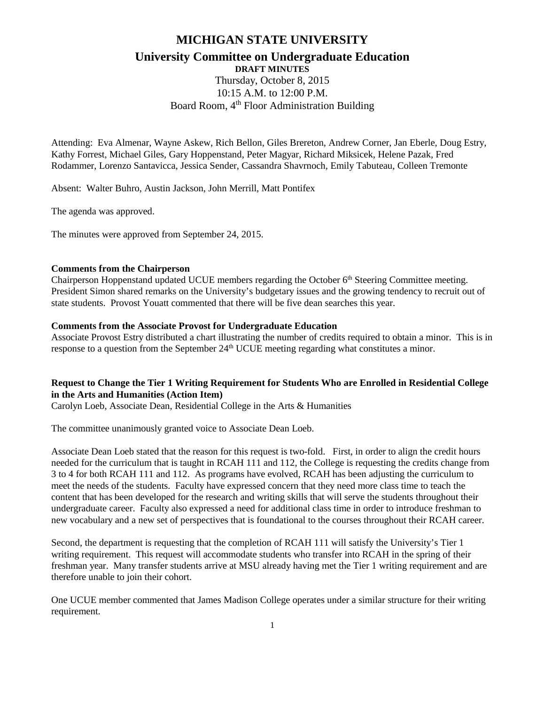# **MICHIGAN STATE UNIVERSITY**

## **University Committee on Undergraduate Education**

**DRAFT MINUTES**

Thursday, October 8, 2015 10:15 A.M. to 12:00 P.M. Board Room, 4<sup>th</sup> Floor Administration Building

Attending: Eva Almenar, Wayne Askew, Rich Bellon, Giles Brereton, Andrew Corner, Jan Eberle, Doug Estry, Kathy Forrest, Michael Giles, Gary Hoppenstand, Peter Magyar, Richard Miksicek, Helene Pazak, Fred Rodammer, Lorenzo Santavicca, Jessica Sender, Cassandra Shavrnoch, Emily Tabuteau, Colleen Tremonte

Absent: Walter Buhro, Austin Jackson, John Merrill, Matt Pontifex

The agenda was approved.

The minutes were approved from September 24, 2015.

## **Comments from the Chairperson**

Chairperson Hoppenstand updated UCUE members regarding the October 6<sup>th</sup> Steering Committee meeting. President Simon shared remarks on the University's budgetary issues and the growing tendency to recruit out of state students. Provost Youatt commented that there will be five dean searches this year.

## **Comments from the Associate Provost for Undergraduate Education**

Associate Provost Estry distributed a chart illustrating the number of credits required to obtain a minor. This is in response to a question from the September 24<sup>th</sup> UCUE meeting regarding what constitutes a minor.

## **Request to Change the Tier 1 Writing Requirement for Students Who are Enrolled in Residential College in the Arts and Humanities (Action Item)**

Carolyn Loeb, Associate Dean, Residential College in the Arts & Humanities

The committee unanimously granted voice to Associate Dean Loeb.

Associate Dean Loeb stated that the reason for this request is two-fold. First, in order to align the credit hours needed for the curriculum that is taught in RCAH 111 and 112, the College is requesting the credits change from 3 to 4 for both RCAH 111 and 112. As programs have evolved, RCAH has been adjusting the curriculum to meet the needs of the students. Faculty have expressed concern that they need more class time to teach the content that has been developed for the research and writing skills that will serve the students throughout their undergraduate career. Faculty also expressed a need for additional class time in order to introduce freshman to new vocabulary and a new set of perspectives that is foundational to the courses throughout their RCAH career.

Second, the department is requesting that the completion of RCAH 111 will satisfy the University's Tier 1 writing requirement. This request will accommodate students who transfer into RCAH in the spring of their freshman year. Many transfer students arrive at MSU already having met the Tier 1 writing requirement and are therefore unable to join their cohort.

One UCUE member commented that James Madison College operates under a similar structure for their writing requirement.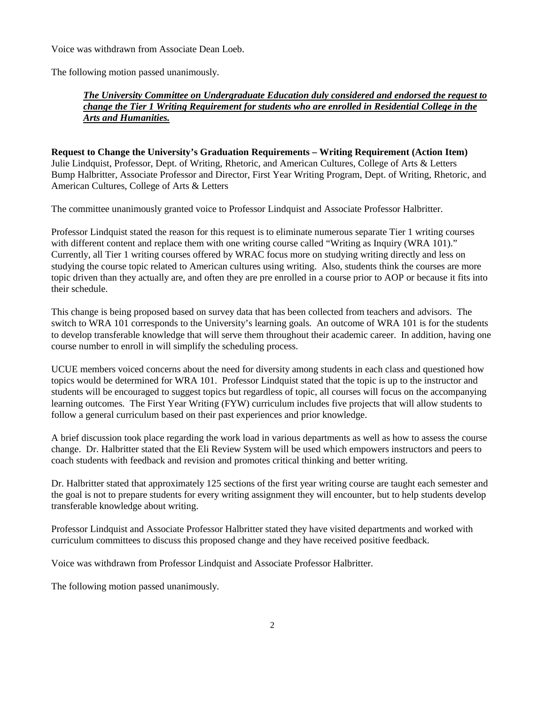Voice was withdrawn from Associate Dean Loeb.

The following motion passed unanimously.

## *The University Committee on Undergraduate Education duly considered and endorsed the request to change the Tier 1 Writing Requirement for students who are enrolled in Residential College in the Arts and Humanities.*

**Request to Change the University's Graduation Requirements – Writing Requirement (Action Item)** Julie Lindquist, Professor, Dept. of Writing, Rhetoric, and American Cultures, College of Arts & Letters Bump Halbritter, Associate Professor and Director, First Year Writing Program, Dept. of Writing, Rhetoric, and American Cultures, College of Arts & Letters

The committee unanimously granted voice to Professor Lindquist and Associate Professor Halbritter.

Professor Lindquist stated the reason for this request is to eliminate numerous separate Tier 1 writing courses with different content and replace them with one writing course called "Writing as Inquiry (WRA 101)." Currently, all Tier 1 writing courses offered by WRAC focus more on studying writing directly and less on studying the course topic related to American cultures using writing. Also, students think the courses are more topic driven than they actually are, and often they are pre enrolled in a course prior to AOP or because it fits into their schedule.

This change is being proposed based on survey data that has been collected from teachers and advisors. The switch to WRA 101 corresponds to the University's learning goals. An outcome of WRA 101 is for the students to develop transferable knowledge that will serve them throughout their academic career. In addition, having one course number to enroll in will simplify the scheduling process.

UCUE members voiced concerns about the need for diversity among students in each class and questioned how topics would be determined for WRA 101. Professor Lindquist stated that the topic is up to the instructor and students will be encouraged to suggest topics but regardless of topic, all courses will focus on the accompanying learning outcomes. The First Year Writing (FYW) curriculum includes five projects that will allow students to follow a general curriculum based on their past experiences and prior knowledge.

A brief discussion took place regarding the work load in various departments as well as how to assess the course change. Dr. Halbritter stated that the Eli Review System will be used which empowers instructors and peers to coach students with feedback and revision and promotes critical thinking and better writing.

Dr. Halbritter stated that approximately 125 sections of the first year writing course are taught each semester and the goal is not to prepare students for every writing assignment they will encounter, but to help students develop transferable knowledge about writing.

Professor Lindquist and Associate Professor Halbritter stated they have visited departments and worked with curriculum committees to discuss this proposed change and they have received positive feedback.

Voice was withdrawn from Professor Lindquist and Associate Professor Halbritter.

The following motion passed unanimously.